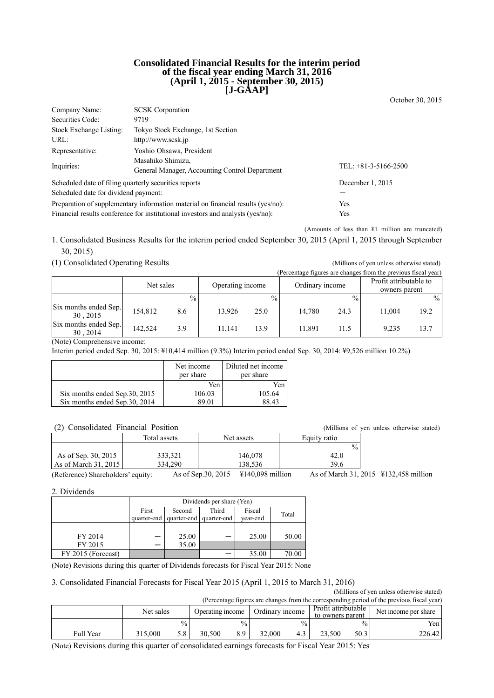#### **Consolidated Financial Results for the interim period of the fiscal year ending March 31, 2016 (April 1, 2015 - September 30, 2015) [J-GAAP]**

Company Name: SCSK Corporation Securities Code: 9719 Stock Exchange Listing: Tokyo Stock Exchange, 1st Section URL: http://www.scsk.jp Representative: Yoshio Ohsawa, President Inquiries: Masahiko Shimizu, General Manager, Accounting Control Department TEL: +81-3-5166-2500 Scheduled date of filing quarterly securities reports December 1, 2015 Scheduled date for dividend payment:

Preparation of supplementary information material on financial results (yes/no): Yes Financial results conference for institutional investors and analysts (yes/no): Yes

(Amounts of less than ¥1 million are truncated)

1. Consolidated Business Results for the interim period ended September 30, 2015 (April 1, 2015 through September 30, 2015)

(1) Consolidated Operating Results (Millions of yen unless otherwise stated)

(Percentage figures are changes from the previous fiscal year) Net sales Operating income Ordinary income Profit attributable to owners parent  $\frac{9}{6}$  %  $\frac{9}{6}$  %  $\frac{9}{6}$  %  $\frac{9}{6}$ Six months ended Sep. 30, 2015 154,812 8.6 13,926 25.0 14,780 24.3 11,004 19.2 Six months ended Sep. 30 , 2014 142,524 3.9 11,141 13.9 11,891 11.5 9,235 13.7

(Note) Comprehensive income:

Interim period ended Sep. 30, 2015: ¥10,414 million (9.3%) Interim period ended Sep. 30, 2014: ¥9,526 million 10.2%)

|                               | Net income<br>per share | Diluted net income<br>per share |
|-------------------------------|-------------------------|---------------------------------|
|                               | Yen                     | Yen                             |
| Six months ended Sep.30, 2015 | 106.03                  | 105.64                          |
| Six months ended Sep.30, 2014 | 89.01                   | 88.43                           |

#### (2) Consolidated Financial Position (Millions of yen unless otherwise stated)

|                      | Total assets | Net assets          | Equity ratio                                   |
|----------------------|--------------|---------------------|------------------------------------------------|
|                      |              |                     | $\%$                                           |
| As of Sep. 30, 2015  | 333,321      | 146,078             | 42.0                                           |
| As of March 31, 2015 | 334.290      | 138.536             | 39.6                                           |
| .                    | --<br>$\sim$ | --------<br>------- | .<br>$\sim$ $\sim$ $\sim$ $\sim$ $\sim$ $\sim$ |

(Reference) Shareholders' equity: As of Sep.30, 2015 ¥140,098 million As of March 31, 2015 ¥132,458 million

2. Dividends

|                    | Dividends per share (Yen) |                                    |                         |          |       |  |  |
|--------------------|---------------------------|------------------------------------|-------------------------|----------|-------|--|--|
|                    | First                     | Third<br>Fiscal<br>Second<br>Total |                         |          |       |  |  |
|                    | quarter-end               |                                    | quarter-end quarter-end | year-end |       |  |  |
|                    |                           |                                    |                         |          |       |  |  |
| FY 2014            |                           | 25.00                              |                         | 25.00    | 50.00 |  |  |
| FY 2015            |                           | 35.00                              |                         |          |       |  |  |
| FY 2015 (Forecast) |                           |                                    |                         | 35.00    |       |  |  |

(Note) Revisions during this quarter of Dividends forecasts for Fiscal Year 2015: None

#### 3. Consolidated Financial Forecasts for Fiscal Year 2015 (April 1, 2015 to March 31, 2016)

(Millions of yen unless otherwise stated) (Percentage figures are changes from the corresponding period of the previous fiscal year)

|           | Net sales |               | Ordinary income<br>Operating income |               | Profit attributable<br>to owners parent |               | Net income per share |      |        |
|-----------|-----------|---------------|-------------------------------------|---------------|-----------------------------------------|---------------|----------------------|------|--------|
|           |           | $\frac{0}{0}$ |                                     | $\frac{0}{0}$ |                                         | $\frac{0}{0}$ |                      | $\%$ | Yen.   |
| Full Year | 315,000   | 5.8           | 30.500                              | 8.9           | .000                                    | 4.3           | 23,500               | 50.3 | 226.42 |

(Note) Revisions during this quarter of consolidated earnings forecasts for Fiscal Year 2015: Yes

October 30, 2015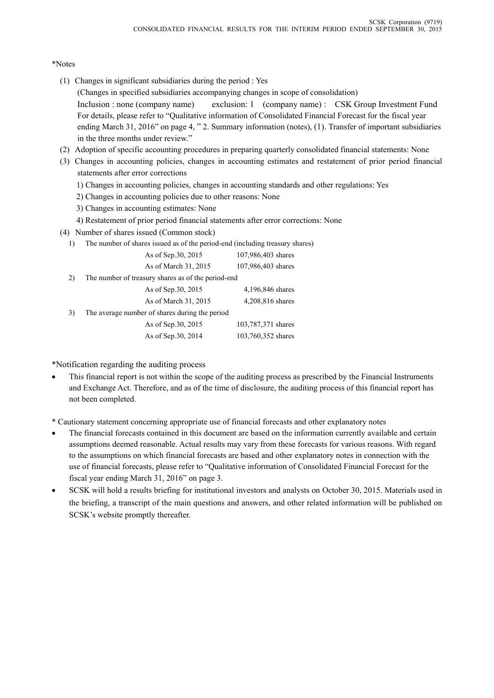### \*Notes

(1) Changes in significant subsidiaries during the period : Yes

(Changes in specified subsidiaries accompanying changes in scope of consolidation) Inclusion : none (company name) exclusion: 1 (company name) : CSK Group Investment Fund For details, please refer to "Qualitative information of Consolidated Financial Forecast for the fiscal year ending March 31, 2016" on page 4, " 2. Summary information (notes), (1). Transfer of important subsidiaries in the three months under review."

- (2) Adoption of specific accounting procedures in preparing quarterly consolidated financial statements: None
- (3) Changes in accounting policies, changes in accounting estimates and restatement of prior period financial statements after error corrections
	- 1) Changes in accounting policies, changes in accounting standards and other regulations: Yes
	- 2) Changes in accounting policies due to other reasons: None
	- 3) Changes in accounting estimates: None
	- 4) Restatement of prior period financial statements after error corrections: None
- (4) Number of shares issued (Common stock)
	- 1) The number of shares issued as of the period-end (including treasury shares)

|    | As of Sep. 30, 2015                                | 107,986,403 shares |
|----|----------------------------------------------------|--------------------|
|    | As of March 31, 2015                               | 107,986,403 shares |
| 2) | The number of treasury shares as of the period-end |                    |
|    | As of Sep. 30, 2015                                | 4,196,846 shares   |
|    | As of March 31, 2015                               | 4,208,816 shares   |
| 3) | The average number of shares during the period     |                    |
|    | As of Sep. 30, 2015                                | 103,787,371 shares |
|    | As of Sep. 30, 2014                                | 103,760,352 shares |
|    |                                                    |                    |

\*Notification regarding the auditing process

 This financial report is not within the scope of the auditing process as prescribed by the Financial Instruments and Exchange Act. Therefore, and as of the time of disclosure, the auditing process of this financial report has not been completed.

\* Cautionary statement concerning appropriate use of financial forecasts and other explanatory notes

- The financial forecasts contained in this document are based on the information currently available and certain assumptions deemed reasonable. Actual results may vary from these forecasts for various reasons. With regard to the assumptions on which financial forecasts are based and other explanatory notes in connection with the use of financial forecasts, please refer to "Qualitative information of Consolidated Financial Forecast for the fiscal year ending March 31, 2016" on page 3.
- SCSK will hold a results briefing for institutional investors and analysts on October 30, 2015. Materials used in the briefing, a transcript of the main questions and answers, and other related information will be published on SCSK's website promptly thereafter.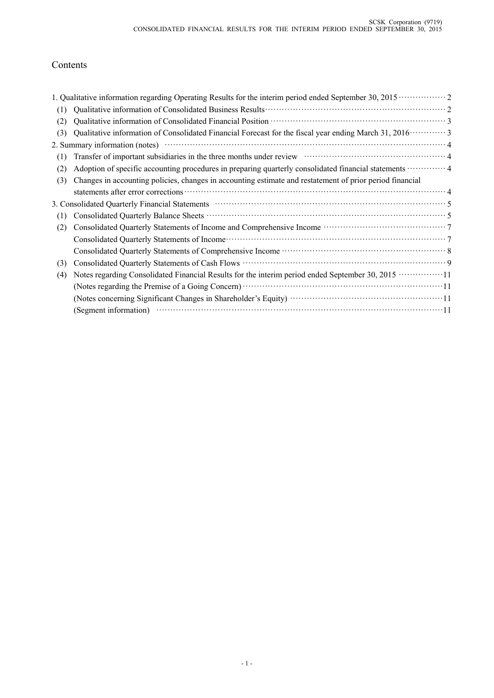# Contents

|     | 1. Qualitative information regarding Operating Results for the interim period ended September 30, 2015 ··············· 2                                                                                                                                                                                                       |  |
|-----|--------------------------------------------------------------------------------------------------------------------------------------------------------------------------------------------------------------------------------------------------------------------------------------------------------------------------------|--|
| (1) |                                                                                                                                                                                                                                                                                                                                |  |
| (2) |                                                                                                                                                                                                                                                                                                                                |  |
| (3) | Qualitative information of Consolidated Financial Forecast for the fiscal year ending March 31, 2016 ············· 3                                                                                                                                                                                                           |  |
|     |                                                                                                                                                                                                                                                                                                                                |  |
| (1) | Transfer of important subsidiaries in the three months under review material contact and a 4                                                                                                                                                                                                                                   |  |
| (2) | Adoption of specific accounting procedures in preparing quarterly consolidated financial statements  4                                                                                                                                                                                                                         |  |
| (3) | Changes in accounting policies, changes in accounting estimate and restatement of prior period financial                                                                                                                                                                                                                       |  |
|     |                                                                                                                                                                                                                                                                                                                                |  |
|     | 3. Consolidated Quarterly Financial Statements manufactured control of the Statements of Statements and Statements of Statements and Statements of Statements and Statements of Statements and Statements and Statements and S                                                                                                 |  |
| (1) |                                                                                                                                                                                                                                                                                                                                |  |
| (2) |                                                                                                                                                                                                                                                                                                                                |  |
|     |                                                                                                                                                                                                                                                                                                                                |  |
|     |                                                                                                                                                                                                                                                                                                                                |  |
| (3) | Consolidated Quarterly Statements of Cash Flows manufactured consolidated Quarterly Statements of Cash Flows manufactured and the statements of Cash Flows manufactured and statements of Cash Flows manufactured and statemen                                                                                                 |  |
| (4) | Notes regarding Consolidated Financial Results for the interim period ended September 30, 2015 ··················11                                                                                                                                                                                                            |  |
|     | (Notes regarding the Premise of a Going Concern) manufactured and the Premise of a Going Concern) manufactured and the Premise of a Going Concern                                                                                                                                                                              |  |
|     |                                                                                                                                                                                                                                                                                                                                |  |
|     | (Segment information) $\cdots$ $\cdots$ $\cdots$ $\cdots$ $\cdots$ $\cdots$ $\cdots$ $\cdots$ $\cdots$ $\cdots$ $\cdots$ $\cdots$ $\cdots$ $\cdots$ $\cdots$ $\cdots$ $\cdots$ $\cdots$ $\cdots$ $\cdots$ $\cdots$ $\cdots$ $\cdots$ $\cdots$ $\cdots$ $\cdots$ $\cdots$ $\cdots$ $\cdots$ $\cdots$ $\cdots$ $\cdots$ $\cdots$ |  |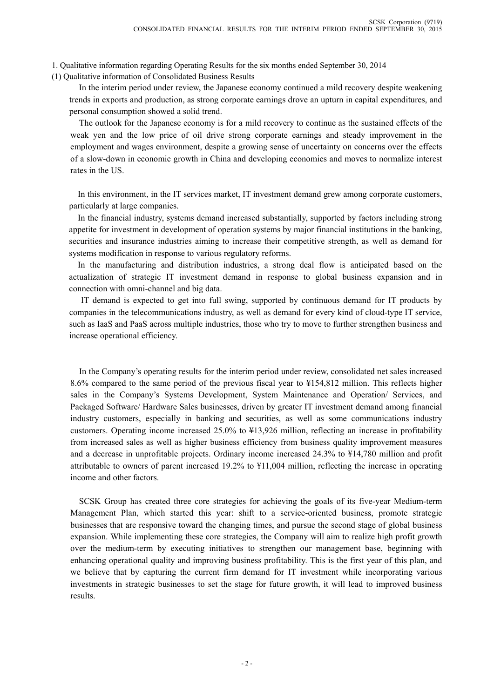1. Qualitative information regarding Operating Results for the six months ended September 30, 2014

(1) Qualitative information of Consolidated Business Results

In the interim period under review, the Japanese economy continued a mild recovery despite weakening trends in exports and production, as strong corporate earnings drove an upturn in capital expenditures, and personal consumption showed a solid trend.

The outlook for the Japanese economy is for a mild recovery to continue as the sustained effects of the weak yen and the low price of oil drive strong corporate earnings and steady improvement in the employment and wages environment, despite a growing sense of uncertainty on concerns over the effects of a slow-down in economic growth in China and developing economies and moves to normalize interest rates in the US.

In this environment, in the IT services market, IT investment demand grew among corporate customers, particularly at large companies.

In the financial industry, systems demand increased substantially, supported by factors including strong appetite for investment in development of operation systems by major financial institutions in the banking, securities and insurance industries aiming to increase their competitive strength, as well as demand for systems modification in response to various regulatory reforms.

In the manufacturing and distribution industries, a strong deal flow is anticipated based on the actualization of strategic IT investment demand in response to global business expansion and in connection with omni-channel and big data.

IT demand is expected to get into full swing, supported by continuous demand for IT products by companies in the telecommunications industry, as well as demand for every kind of cloud-type IT service, such as IaaS and PaaS across multiple industries, those who try to move to further strengthen business and increase operational efficiency.

In the Company's operating results for the interim period under review, consolidated net sales increased 8.6% compared to the same period of the previous fiscal year to ¥154,812 million. This reflects higher sales in the Company's Systems Development, System Maintenance and Operation/ Services, and Packaged Software/ Hardware Sales businesses, driven by greater IT investment demand among financial industry customers, especially in banking and securities, as well as some communications industry customers. Operating income increased 25.0% to ¥13,926 million, reflecting an increase in profitability from increased sales as well as higher business efficiency from business quality improvement measures and a decrease in unprofitable projects. Ordinary income increased 24.3% to ¥14,780 million and profit attributable to owners of parent increased 19.2% to ¥11,004 million, reflecting the increase in operating income and other factors.

SCSK Group has created three core strategies for achieving the goals of its five-year Medium-term Management Plan, which started this year: shift to a service-oriented business, promote strategic businesses that are responsive toward the changing times, and pursue the second stage of global business expansion. While implementing these core strategies, the Company will aim to realize high profit growth over the medium-term by executing initiatives to strengthen our management base, beginning with enhancing operational quality and improving business profitability. This is the first year of this plan, and we believe that by capturing the current firm demand for IT investment while incorporating various investments in strategic businesses to set the stage for future growth, it will lead to improved business results.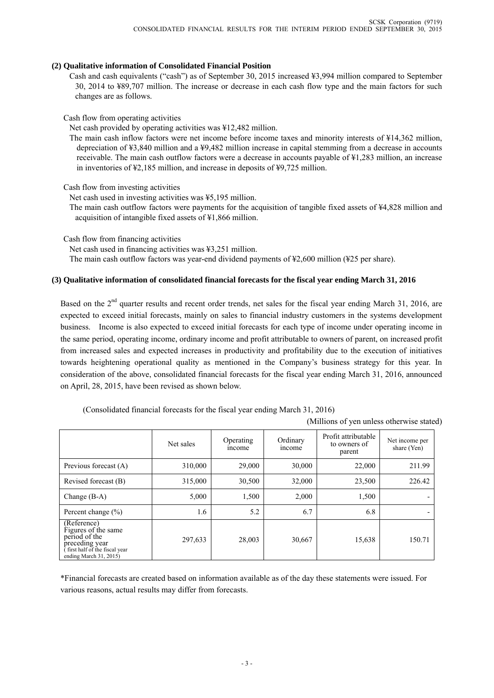### **(2) Qualitative information of Consolidated Financial Position**

Cash and cash equivalents ("cash") as of September 30, 2015 increased ¥3,994 million compared to September 30, 2014 to ¥89,707 million. The increase or decrease in each cash flow type and the main factors for such changes are as follows.

### Cash flow from operating activities

Net cash provided by operating activities was ¥12,482 million.

The main cash inflow factors were net income before income taxes and minority interests of ¥14,362 million, depreciation of ¥3,840 million and a ¥9,482 million increase in capital stemming from a decrease in accounts receivable. The main cash outflow factors were a decrease in accounts payable of ¥1,283 million, an increase in inventories of ¥2,185 million, and increase in deposits of ¥9,725 million.

Cash flow from investing activities

Net cash used in investing activities was ¥5,195 million.

The main cash outflow factors were payments for the acquisition of tangible fixed assets of ¥4,828 million and acquisition of intangible fixed assets of ¥1,866 million.

Cash flow from financing activities

Net cash used in financing activities was ¥3,251 million.

The main cash outflow factors was year-end dividend payments of ¥2,600 million (¥25 per share).

### **(3) Qualitative information of consolidated financial forecasts for the fiscal year ending March 31, 2016**

Based on the 2<sup>nd</sup> quarter results and recent order trends, net sales for the fiscal year ending March 31, 2016, are expected to exceed initial forecasts, mainly on sales to financial industry customers in the systems development business. Income is also expected to exceed initial forecasts for each type of income under operating income in the same period, operating income, ordinary income and profit attributable to owners of parent, on increased profit from increased sales and expected increases in productivity and profitability due to the execution of initiatives towards heightening operational quality as mentioned in the Company's business strategy for this year. In consideration of the above, consolidated financial forecasts for the fiscal year ending March 31, 2016, announced on April, 28, 2015, have been revised as shown below.

(Consolidated financial forecasts for the fiscal year ending March 31, 2016)

(Millions of yen unless otherwise stated)

|                                                                                                                                   | Net sales | Operating<br>income | Ordinary<br>income | Profit attributable<br>to owners of<br>parent | Net income per<br>share (Yen) |
|-----------------------------------------------------------------------------------------------------------------------------------|-----------|---------------------|--------------------|-----------------------------------------------|-------------------------------|
| Previous forecast (A)                                                                                                             | 310,000   | 29,000              | 30,000             | 22,000                                        | 211.99                        |
| Revised forecast (B)                                                                                                              | 315,000   | 30,500              | 32,000             | 23,500                                        | 226.42                        |
| Change $(B-A)$                                                                                                                    | 5,000     | 1,500               | 2,000              | 1,500                                         |                               |
| Percent change $(\% )$                                                                                                            | 1.6       | 5.2                 | 6.7                | 6.8                                           |                               |
| (Reference)<br>Figures of the same<br>period of the<br>preceding year<br>first half of the fiscal year<br>ending March $31, 2015$ | 297,633   | 28,003              | 30,667             | 15,638                                        | 150.71                        |

\*Financial forecasts are created based on information available as of the day these statements were issued. For various reasons, actual results may differ from forecasts.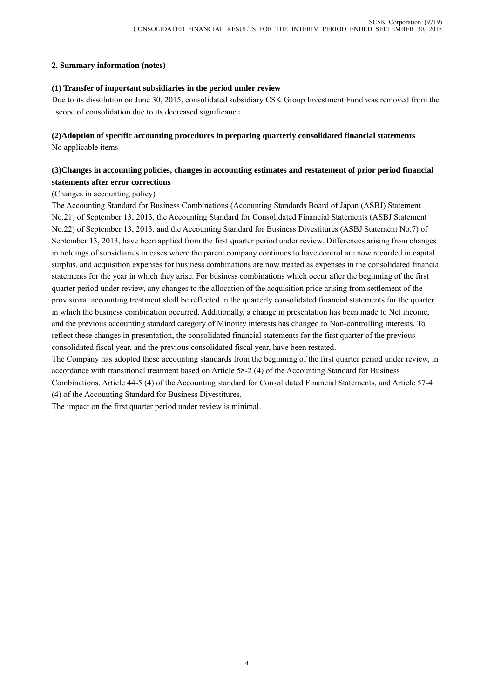### **2. Summary information (notes)**

### **(1) Transfer of important subsidiaries in the period under review**

Due to its dissolution on June 30, 2015, consolidated subsidiary CSK Group Investment Fund was removed from the scope of consolidation due to its decreased significance.

### **(2)Adoption of specific accounting procedures in preparing quarterly consolidated financial statements** No applicable items

## **(3)Changes in accounting policies, changes in accounting estimates and restatement of prior period financial statements after error corrections**

### (Changes in accounting policy)

The Accounting Standard for Business Combinations (Accounting Standards Board of Japan (ASBJ) Statement No.21) of September 13, 2013, the Accounting Standard for Consolidated Financial Statements (ASBJ Statement No.22) of September 13, 2013, and the Accounting Standard for Business Divestitures (ASBJ Statement No.7) of September 13, 2013, have been applied from the first quarter period under review. Differences arising from changes in holdings of subsidiaries in cases where the parent company continues to have control are now recorded in capital surplus, and acquisition expenses for business combinations are now treated as expenses in the consolidated financial statements for the year in which they arise. For business combinations which occur after the beginning of the first quarter period under review, any changes to the allocation of the acquisition price arising from settlement of the provisional accounting treatment shall be reflected in the quarterly consolidated financial statements for the quarter in which the business combination occurred. Additionally, a change in presentation has been made to Net income, and the previous accounting standard category of Minority interests has changed to Non-controlling interests. To reflect these changes in presentation, the consolidated financial statements for the first quarter of the previous consolidated fiscal year, and the previous consolidated fiscal year, have been restated.

The Company has adopted these accounting standards from the beginning of the first quarter period under review, in accordance with transitional treatment based on Article 58-2 (4) of the Accounting Standard for Business Combinations, Article 44-5 (4) of the Accounting standard for Consolidated Financial Statements, and Article 57-4 (4) of the Accounting Standard for Business Divestitures.

The impact on the first quarter period under review is minimal.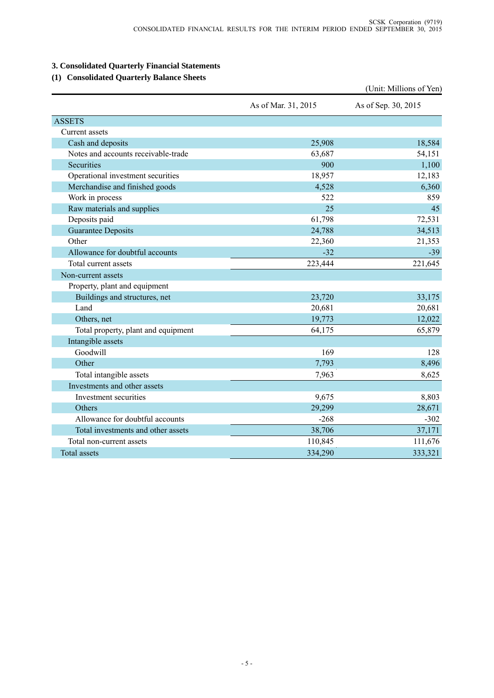### **3. Consolidated Quarterly Financial Statements**

### **(1) Consolidated Quarterly Balance Sheets**

|                                     |                     | (Unit: Millions of Yen) |
|-------------------------------------|---------------------|-------------------------|
|                                     | As of Mar. 31, 2015 | As of Sep. 30, 2015     |
| <b>ASSETS</b>                       |                     |                         |
| Current assets                      |                     |                         |
| Cash and deposits                   | 25,908              | 18,584                  |
| Notes and accounts receivable-trade | 63,687              | 54,151                  |
| Securities                          | 900                 | 1,100                   |
| Operational investment securities   | 18,957              | 12,183                  |
| Merchandise and finished goods      | 4,528               | 6,360                   |
| Work in process                     | 522                 | 859                     |
| Raw materials and supplies          | 25                  | 45                      |
| Deposits paid                       | 61,798              | 72,531                  |
| <b>Guarantee Deposits</b>           | 24,788              | 34,513                  |
| Other                               | 22,360              | 21,353                  |
| Allowance for doubtful accounts     | $-32$               | $-39$                   |
| Total current assets                | 223,444             | 221,645                 |
| Non-current assets                  |                     |                         |
| Property, plant and equipment       |                     |                         |
| Buildings and structures, net       | 23,720              | 33,175                  |
| Land                                | 20,681              | 20,681                  |
| Others, net                         | 19,773              | 12,022                  |
| Total property, plant and equipment | 64,175              | 65,879                  |
| Intangible assets                   |                     |                         |
| Goodwill                            | 169                 | 128                     |
| Other                               | 7,793               | 8,496                   |
| Total intangible assets             | 7,963               | 8,625                   |
| Investments and other assets        |                     |                         |
| Investment securities               | 9,675               | 8,803                   |
| Others                              | 29,299              | 28,671                  |
| Allowance for doubtful accounts     | $-268$              | $-302$                  |
| Total investments and other assets  | 38,706              | 37,171                  |
| Total non-current assets            | 110,845             | 111,676                 |
| <b>Total assets</b>                 | 334,290             | 333,321                 |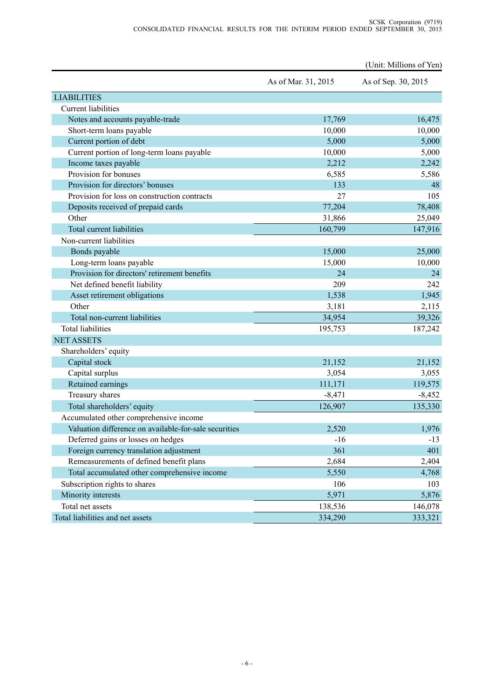|                                                       |                     | (Unit: Millions of Yen) |
|-------------------------------------------------------|---------------------|-------------------------|
|                                                       | As of Mar. 31, 2015 | As of Sep. 30, 2015     |
| <b>LIABILITIES</b>                                    |                     |                         |
| <b>Current liabilities</b>                            |                     |                         |
| Notes and accounts payable-trade                      | 17,769              | 16,475                  |
| Short-term loans payable                              | 10,000              | 10,000                  |
| Current portion of debt                               | 5,000               | 5,000                   |
| Current portion of long-term loans payable            | 10,000              | 5,000                   |
| Income taxes payable                                  | 2,212               | 2,242                   |
| Provision for bonuses                                 | 6,585               | 5,586                   |
| Provision for directors' bonuses                      | 133                 | 48                      |
| Provision for loss on construction contracts          | 27                  | 105                     |
| Deposits received of prepaid cards                    | 77,204              | 78,408                  |
| Other                                                 | 31,866              | 25,049                  |
| Total current liabilities                             | 160,799             | 147,916                 |
| Non-current liabilities                               |                     |                         |
| Bonds payable                                         | 15,000              | 25,000                  |
| Long-term loans payable                               | 15,000              | 10,000                  |
| Provision for directors' retirement benefits          | 24                  | 24                      |
| Net defined benefit liability                         | 209                 | 242                     |
| Asset retirement obligations                          | 1,538               | 1,945                   |
| Other                                                 | 3,181               | 2,115                   |
| Total non-current liabilities                         | 34,954              | 39,326                  |
| <b>Total liabilities</b>                              | 195,753             | 187,242                 |
| <b>NET ASSETS</b>                                     |                     |                         |
| Shareholders' equity                                  |                     |                         |
| Capital stock                                         | 21,152              | 21,152                  |
| Capital surplus                                       | 3,054               | 3,055                   |
| Retained earnings                                     | 111,171             | 119,575                 |
| Treasury shares                                       | $-8,471$            | $-8,452$                |
| Total shareholders' equity                            | 126,907             | 135,330                 |
| Accumulated other comprehensive income                |                     |                         |
| Valuation difference on available-for-sale securities | 2,520               | 1,976                   |
| Deferred gains or losses on hedges                    | $-16$               | $-13$                   |
| Foreign currency translation adjustment               | 361                 | 401                     |
| Remeasurements of defined benefit plans               | 2,684               | 2,404                   |
| Total accumulated other comprehensive income          | 5,550               | 4,768                   |
| Subscription rights to shares                         | 106                 | 103                     |
| Minority interests                                    | 5,971               | 5,876                   |
| Total net assets                                      | 138,536             | 146,078                 |
| Total liabilities and net assets                      | 334,290             | 333,321                 |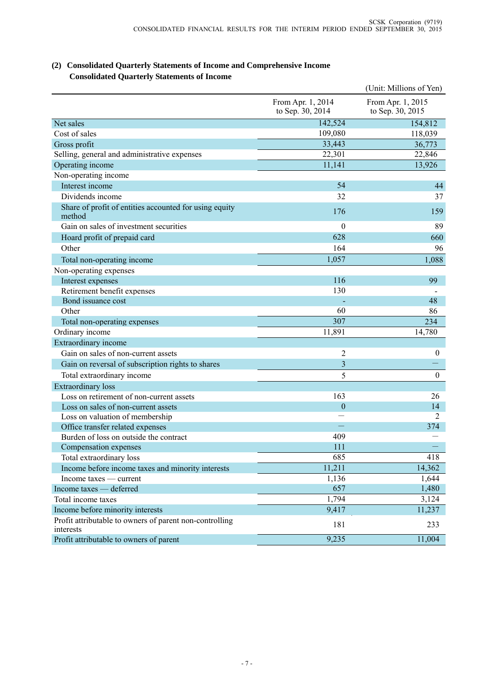| (2) Consolidated Quarterly Statements of Income and Comprehensive Income |  |
|--------------------------------------------------------------------------|--|
| <b>Consolidated Quarterly Statements of Income</b>                       |  |

|                                                                      |                                       | (Unit: Millions of Yen)               |
|----------------------------------------------------------------------|---------------------------------------|---------------------------------------|
|                                                                      | From Apr. 1, 2014<br>to Sep. 30, 2014 | From Apr. 1, 2015<br>to Sep. 30, 2015 |
| Net sales                                                            | 142,524                               | 154,812                               |
| Cost of sales                                                        | 109,080                               | 118,039                               |
| Gross profit                                                         | 33,443                                | 36,773                                |
| Selling, general and administrative expenses                         | 22,301                                | 22,846                                |
| Operating income                                                     | 11,141                                | 13,926                                |
| Non-operating income                                                 |                                       |                                       |
| Interest income                                                      | 54                                    | 44                                    |
| Dividends income                                                     | 32                                    | 37                                    |
| Share of profit of entities accounted for using equity<br>method     | 176                                   | 159                                   |
| Gain on sales of investment securities                               | $\theta$                              | 89                                    |
| Hoard profit of prepaid card                                         | 628                                   | 660                                   |
| Other                                                                | 164                                   | 96                                    |
| Total non-operating income                                           | 1,057                                 | 1,088                                 |
| Non-operating expenses                                               |                                       |                                       |
| Interest expenses                                                    | 116                                   | 99                                    |
| Retirement benefit expenses                                          | 130                                   |                                       |
| Bond issuance cost                                                   |                                       | 48                                    |
| Other                                                                | 60                                    | 86                                    |
| Total non-operating expenses                                         | 307                                   | 234                                   |
| Ordinary income                                                      | 11,891                                | 14,780                                |
| Extraordinary income                                                 |                                       |                                       |
| Gain on sales of non-current assets                                  | 2                                     | $\overline{0}$                        |
| Gain on reversal of subscription rights to shares                    | 3                                     |                                       |
| Total extraordinary income                                           | 5                                     | $\theta$                              |
| <b>Extraordinary</b> loss                                            |                                       |                                       |
| Loss on retirement of non-current assets                             | 163                                   | 26                                    |
| Loss on sales of non-current assets                                  | $\theta$                              | 14                                    |
| Loss on valuation of membership                                      |                                       | 2                                     |
| Office transfer related expenses                                     |                                       | 374                                   |
| Burden of loss on outside the contract                               | 409                                   |                                       |
| Compensation expenses                                                | 111                                   |                                       |
| Total extraordinary loss                                             | 685                                   | 418                                   |
| Income before income taxes and minority interests                    | 11,211                                | 14,362                                |
| Income taxes — current                                               | 1,136                                 | 1,644                                 |
| Income taxes — deferred                                              | 657                                   | 1,480                                 |
| Total income taxes                                                   | 1,794                                 | 3,124                                 |
| Income before minority interests                                     | 9,417                                 | 11,237                                |
| Profit attributable to owners of parent non-controlling<br>interests | 181                                   | 233                                   |
| Profit attributable to owners of parent                              | 9,235                                 | 11,004                                |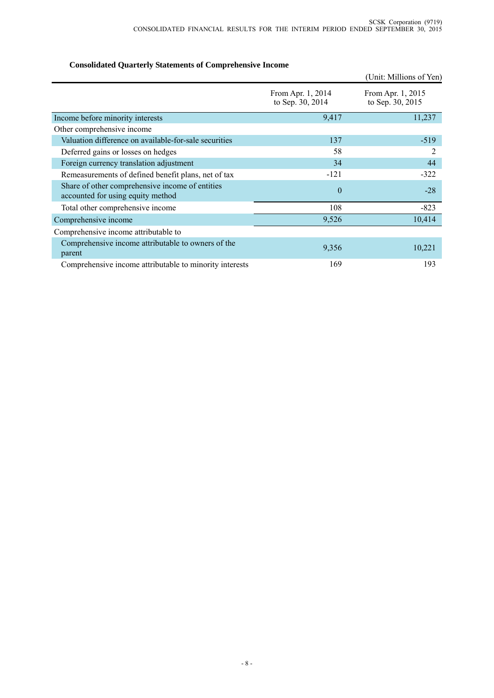## **Consolidated Quarterly Statements of Comprehensive Income**

|                                                                                      |                                       | (Unit: Millions of Yen)               |
|--------------------------------------------------------------------------------------|---------------------------------------|---------------------------------------|
|                                                                                      | From Apr. 1, 2014<br>to Sep. 30, 2014 | From Apr. 1, 2015<br>to Sep. 30, 2015 |
| Income before minority interests                                                     | 9,417                                 | 11,237                                |
| Other comprehensive income                                                           |                                       |                                       |
| Valuation difference on available-for-sale securities                                | 137                                   | $-519$                                |
| Deferred gains or losses on hedges                                                   | 58                                    |                                       |
| Foreign currency translation adjustment                                              | 34                                    | 44                                    |
| Remeasurements of defined benefit plans, net of tax                                  | $-121$                                | $-322$                                |
| Share of other comprehensive income of entities<br>accounted for using equity method | $\overline{0}$                        | $-28$                                 |
| Total other comprehensive income                                                     | 108                                   | $-823$                                |
| Comprehensive income                                                                 | 9,526                                 | 10,414                                |
| Comprehensive income attributable to                                                 |                                       |                                       |
| Comprehensive income attributable to owners of the<br>parent                         | 9,356                                 | 10,221                                |
| Comprehensive income attributable to minority interests                              | 169                                   | 193                                   |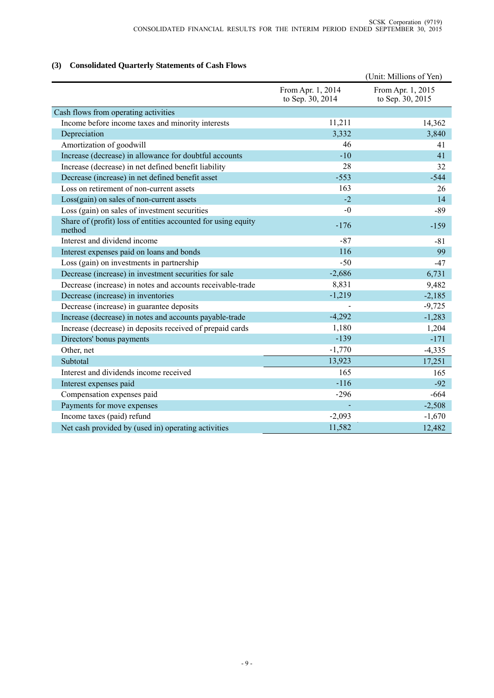## **(3) Consolidated Quarterly Statements of Cash Flows**

|                                                                         |                                       | (Unit: Millions of Yen)               |
|-------------------------------------------------------------------------|---------------------------------------|---------------------------------------|
|                                                                         | From Apr. 1, 2014<br>to Sep. 30, 2014 | From Apr. 1, 2015<br>to Sep. 30, 2015 |
| Cash flows from operating activities                                    |                                       |                                       |
| Income before income taxes and minority interests                       | 11,211                                | 14,362                                |
| Depreciation                                                            | 3,332                                 | 3,840                                 |
| Amortization of goodwill                                                | 46                                    | 41                                    |
| Increase (decrease) in allowance for doubtful accounts                  | $-10$                                 | 41                                    |
| Increase (decrease) in net defined benefit liability                    | 28                                    | 32                                    |
| Decrease (increase) in net defined benefit asset                        | $-553$                                | $-544$                                |
| Loss on retirement of non-current assets                                | 163                                   | 26                                    |
| Loss(gain) on sales of non-current assets                               | $-2$                                  | 14                                    |
| Loss (gain) on sales of investment securities                           | $-0$                                  | $-89$                                 |
| Share of (profit) loss of entities accounted for using equity<br>method | $-176$                                | $-159$                                |
| Interest and dividend income                                            | $-87$                                 | $-81$                                 |
| Interest expenses paid on loans and bonds                               | 116                                   | 99                                    |
| Loss (gain) on investments in partnership                               | $-50$                                 | $-47$                                 |
| Decrease (increase) in investment securities for sale                   | $-2,686$                              | 6,731                                 |
| Decrease (increase) in notes and accounts receivable-trade              | 8,831                                 | 9,482                                 |
| Decrease (increase) in inventories                                      | $-1,219$                              | $-2,185$                              |
| Decrease (increase) in guarantee deposits                               |                                       | $-9,725$                              |
| Increase (decrease) in notes and accounts payable-trade                 | $-4,292$                              | $-1,283$                              |
| Increase (decrease) in deposits received of prepaid cards               | 1,180                                 | 1,204                                 |
| Directors' bonus payments                                               | $-139$                                | $-171$                                |
| Other, net                                                              | $-1,770$                              | $-4,335$                              |
| Subtotal                                                                | 13,923                                | 17,251                                |
| Interest and dividends income received                                  | 165                                   | 165                                   |
| Interest expenses paid                                                  | $-116$                                | $-92$                                 |
| Compensation expenses paid                                              | $-296$                                | $-664$                                |
| Payments for move expenses                                              |                                       | $-2,508$                              |
| Income taxes (paid) refund                                              | $-2,093$                              | $-1,670$                              |
| Net cash provided by (used in) operating activities                     | 11,582                                | 12,482                                |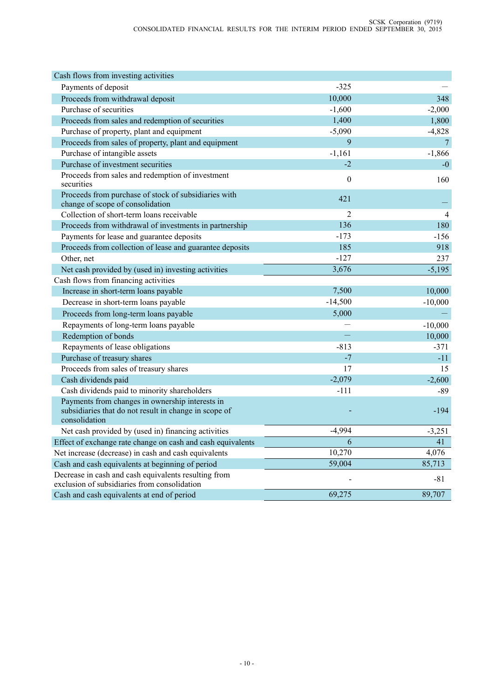| Cash flows from investing activities                                                                                      |                  |                 |
|---------------------------------------------------------------------------------------------------------------------------|------------------|-----------------|
| Payments of deposit                                                                                                       | $-325$           |                 |
| Proceeds from withdrawal deposit                                                                                          | 10,000           | 348             |
| Purchase of securities                                                                                                    | $-1,600$         | $-2,000$        |
| Proceeds from sales and redemption of securities                                                                          | 1,400            | 1,800           |
| Purchase of property, plant and equipment                                                                                 | $-5,090$         | $-4,828$        |
| Proceeds from sales of property, plant and equipment                                                                      | 9                | $7\phantom{.0}$ |
| Purchase of intangible assets                                                                                             | $-1,161$         | $-1,866$        |
| Purchase of investment securities                                                                                         | $-2$             | $-0$            |
| Proceeds from sales and redemption of investment<br>securities                                                            | $\boldsymbol{0}$ | 160             |
| Proceeds from purchase of stock of subsidiaries with<br>change of scope of consolidation                                  | 421              |                 |
| Collection of short-term loans receivable                                                                                 | $\overline{2}$   | $\overline{4}$  |
| Proceeds from withdrawal of investments in partnership                                                                    | 136              | 180             |
| Payments for lease and guarantee deposits                                                                                 | $-173$           | $-156$          |
| Proceeds from collection of lease and guarantee deposits                                                                  | 185              | 918             |
| Other, net                                                                                                                | $-127$           | 237             |
| Net cash provided by (used in) investing activities                                                                       | 3,676            | $-5,195$        |
| Cash flows from financing activities                                                                                      |                  |                 |
| Increase in short-term loans payable                                                                                      | 7,500            | 10,000          |
| Decrease in short-term loans payable                                                                                      | $-14,500$        | $-10,000$       |
| Proceeds from long-term loans payable                                                                                     | 5,000            |                 |
| Repayments of long-term loans payable                                                                                     |                  | $-10,000$       |
| Redemption of bonds                                                                                                       |                  | 10,000          |
| Repayments of lease obligations                                                                                           | $-813$           | $-371$          |
| Purchase of treasury shares                                                                                               | $-7$             | $-11$           |
| Proceeds from sales of treasury shares                                                                                    | 17               | 15              |
| Cash dividends paid                                                                                                       | $-2,079$         | $-2,600$        |
| Cash dividends paid to minority shareholders                                                                              | $-111$           | $-89$           |
| Payments from changes in ownership interests in<br>subsidiaries that do not result in change in scope of<br>consolidation |                  | $-194$          |
| Net cash provided by (used in) financing activities                                                                       | $-4,994$         | $-3,251$        |
| Effect of exchange rate change on cash and cash equivalents                                                               | 6                | 41              |
| Net increase (decrease) in cash and cash equivalents                                                                      | 10,270           | 4,076           |
| Cash and cash equivalents at beginning of period                                                                          | 59,004           | 85,713          |
| Decrease in cash and cash equivalents resulting from<br>exclusion of subsidiaries from consolidation                      |                  | $-81$           |
| Cash and cash equivalents at end of period                                                                                | 69,275           | 89,707          |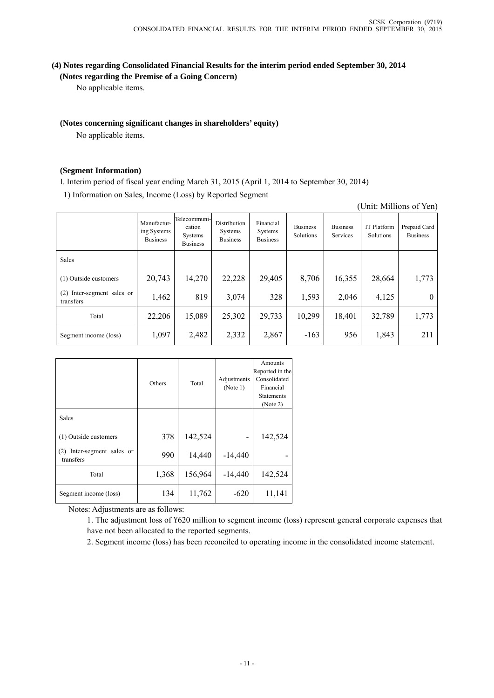## **(4) Notes regarding Consolidated Financial Results for the interim period ended September 30, 2014 (Notes regarding the Premise of a Going Concern)**

No applicable items.

### **(Notes concerning significant changes in shareholders' equity)**

No applicable items.

### **(Segment Information)**

I. Interim period of fiscal year ending March 31, 2015 (April 1, 2014 to September 30, 2014)

1) Information on Sales, Income (Loss) by Reported Segment

|                                            |                                               |                                                      |                                            |                                         |                              |                             |                                 | $\frac{1}{2}$                   |
|--------------------------------------------|-----------------------------------------------|------------------------------------------------------|--------------------------------------------|-----------------------------------------|------------------------------|-----------------------------|---------------------------------|---------------------------------|
|                                            | Manufactur-<br>ing Systems<br><b>Business</b> | Telecommuni-<br>cation<br>Systems<br><b>Business</b> | Distribution<br>Systems<br><b>Business</b> | Financial<br>Systems<br><b>Business</b> | <b>Business</b><br>Solutions | <b>Business</b><br>Services | <b>IT Platform</b><br>Solutions | Prepaid Card<br><b>Business</b> |
| <b>Sales</b>                               |                                               |                                                      |                                            |                                         |                              |                             |                                 |                                 |
| (1) Outside customers                      | 20,743                                        | 14,270                                               | 22,228                                     | 29,405                                  | 8,706                        | 16,355                      | 28,664                          | 1,773                           |
| Inter-segment sales or<br>(2)<br>transfers | 1,462                                         | 819                                                  | 3,074                                      | 328                                     | 1,593                        | 2,046                       | 4,125                           | $\mathbf{0}$                    |
| Total                                      | 22,206                                        | 15,089                                               | 25,302                                     | 29,733                                  | 10,299                       | 18,401                      | 32,789                          | 1,773                           |
| Segment income (loss)                      | 1,097                                         | 2,482                                                | 2,332                                      | 2,867                                   | $-163$                       | 956                         | 1,843                           | 211                             |

|                                            | Others | Total   | Adjustments<br>(Note 1)  | Amounts<br>Reported in the<br>Consolidated<br>Financial<br><b>Statements</b><br>(Note 2) |
|--------------------------------------------|--------|---------|--------------------------|------------------------------------------------------------------------------------------|
| <b>Sales</b>                               |        |         |                          |                                                                                          |
| (1) Outside customers                      | 378    | 142,524 | $\overline{\phantom{0}}$ | 142,524                                                                                  |
| Inter-segment sales or<br>(2)<br>transfers | 990    | 14,440  | $-14,440$                |                                                                                          |
| Total                                      | 1,368  | 156,964 | $-14,440$                | 142,524                                                                                  |
| Segment income (loss)                      | 134    | 11,762  | $-620$                   | 11,141                                                                                   |

Notes: Adjustments are as follows:

1. The adjustment loss of ¥620 million to segment income (loss) represent general corporate expenses that have not been allocated to the reported segments.

2. Segment income (loss) has been reconciled to operating income in the consolidated income statement.

(Unit: Millions of Yen)